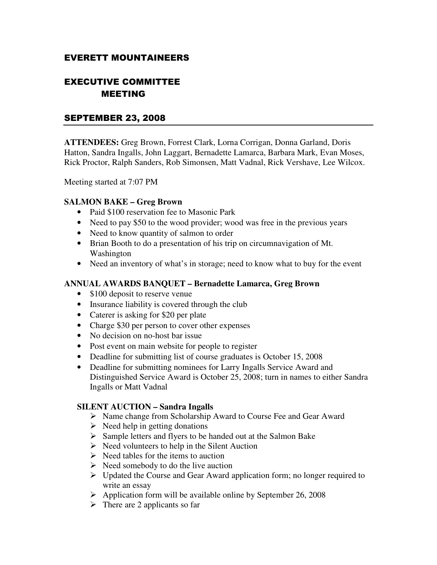# EVERETT MOUNTAINEERS

# EXECUTIVE COMMITTEE MEETING

# SEPTEMBER 23, 2008

**ATTENDEES:** Greg Brown, Forrest Clark, Lorna Corrigan, Donna Garland, Doris Hatton, Sandra Ingalls, John Laggart, Bernadette Lamarca, Barbara Mark, Evan Moses, Rick Proctor, Ralph Sanders, Rob Simonsen, Matt Vadnal, Rick Vershave, Lee Wilcox.

Meeting started at 7:07 PM

#### **SALMON BAKE – Greg Brown**

- Paid \$100 reservation fee to Masonic Park
- Need to pay \$50 to the wood provider; wood was free in the previous years
- Need to know quantity of salmon to order
- Brian Booth to do a presentation of his trip on circumnavigation of Mt. Washington
- Need an inventory of what's in storage; need to know what to buy for the event

#### **ANNUAL AWARDS BANQUET – Bernadette Lamarca, Greg Brown**

- \$100 deposit to reserve venue
- Insurance liability is covered through the club
- Caterer is asking for \$20 per plate
- Charge \$30 per person to cover other expenses
- No decision on no-host bar issue
- Post event on main website for people to register
- Deadline for submitting list of course graduates is October 15, 2008
- Deadline for submitting nominees for Larry Ingalls Service Award and Distinguished Service Award is October 25, 2008; turn in names to either Sandra Ingalls or Matt Vadnal

## **SILENT AUCTION – Sandra Ingalls**

- Name change from Scholarship Award to Course Fee and Gear Award
- $\triangleright$  Need help in getting donations
- $\triangleright$  Sample letters and flyers to be handed out at the Salmon Bake
- $\triangleright$  Need volunteers to help in the Silent Auction
- $\triangleright$  Need tables for the items to auction
- $\triangleright$  Need somebody to do the live auction
- Updated the Course and Gear Award application form; no longer required to write an essay
- $\triangleright$  Application form will be available online by September 26, 2008
- $\triangleright$  There are 2 applicants so far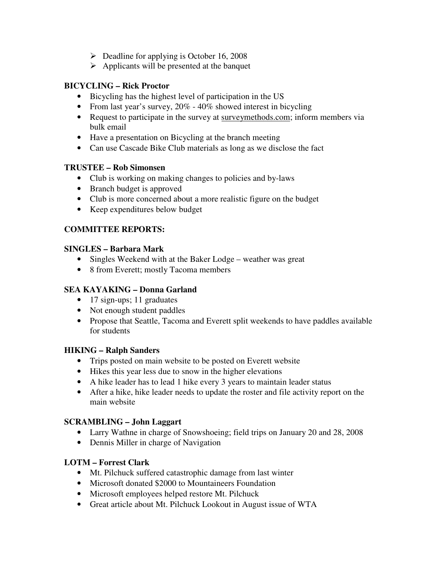- $\triangleright$  Deadline for applying is October 16, 2008
- $\triangleright$  Applicants will be presented at the banquet

# **BICYCLING – Rick Proctor**

- Bicycling has the highest level of participation in the US
- From last year's survey,  $20\%$  40% showed interest in bicycling
- Request to participate in the survey at surveymethods.com; inform members via bulk email
- Have a presentation on Bicycling at the branch meeting
- Can use Cascade Bike Club materials as long as we disclose the fact

# **TRUSTEE – Rob Simonsen**

- Club is working on making changes to policies and by-laws
- Branch budget is approved
- Club is more concerned about a more realistic figure on the budget
- Keep expenditures below budget

# **COMMITTEE REPORTS:**

# **SINGLES – Barbara Mark**

- Singles Weekend with at the Baker Lodge weather was great
- 8 from Everett; mostly Tacoma members

# **SEA KAYAKING – Donna Garland**

- 17 sign-ups; 11 graduates
- Not enough student paddles
- Propose that Seattle, Tacoma and Everett split weekends to have paddles available for students

## **HIKING – Ralph Sanders**

- Trips posted on main website to be posted on Everett website
- Hikes this year less due to snow in the higher elevations
- A hike leader has to lead 1 hike every 3 years to maintain leader status
- After a hike, hike leader needs to update the roster and file activity report on the main website

## **SCRAMBLING – John Laggart**

- Larry Wathne in charge of Snowshoeing; field trips on January 20 and 28, 2008
- Dennis Miller in charge of Navigation

## **LOTM – Forrest Clark**

- Mt. Pilchuck suffered catastrophic damage from last winter
- Microsoft donated \$2000 to Mountaineers Foundation
- Microsoft employees helped restore Mt. Pilchuck
- Great article about Mt. Pilchuck Lookout in August issue of WTA